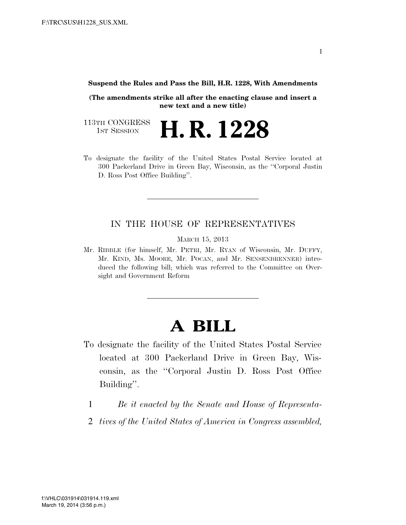**Suspend the Rules and Pass the Bill, H.R. 1228, With Amendments** 

**(The amendments strike all after the enacting clause and insert a new text and a new title)** 

113TH CONGRESS<br>1st Session 1ST SESSION **H. R. 1228**

To designate the facility of the United States Postal Service located at 300 Packerland Drive in Green Bay, Wisconsin, as the ''Corporal Justin D. Ross Post Office Building''.

## IN THE HOUSE OF REPRESENTATIVES

MARCH 15, 2013

Mr. RIBBLE (for himself, Mr. PETRI, Mr. RYAN of Wisconsin, Mr. DUFFY, Mr. KIND, Ms. MOORE, Mr. POCAN, and Mr. SENSENBRENNER) introduced the following bill; which was referred to the Committee on Oversight and Government Reform

## **A BILL**

- To designate the facility of the United States Postal Service located at 300 Packerland Drive in Green Bay, Wisconsin, as the ''Corporal Justin D. Ross Post Office Building''.
	- 1 *Be it enacted by the Senate and House of Representa-*
	- 2 *tives of the United States of America in Congress assembled,*